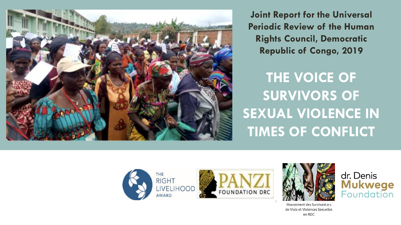

**Joint Report for the Universal Periodic Review of the Human Rights Council, Democratic Republic of Congo, 2019**

**THE VOICE OF SURVIVORS OF SEXUAL VIOLENCE IN TIMES OF CONFLICT**







Mouvement des Survivant.e.s de Viols et Violences Sexuelles en RDC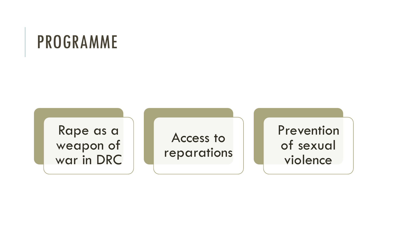## PROGRAMME

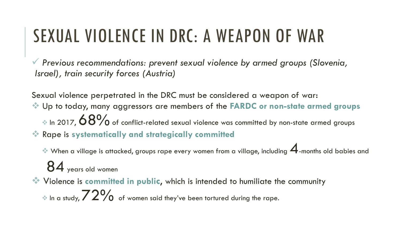# SEXUAL VIOLENCE IN DRC: A WEAPON OF WAR

✓ *Previous recommendations: prevent sexual violence by armed groups (Slovenia, Israel), train security forces (Austria)*

Sexual violence perpetrated in the DRC must be considered a weapon of war: ❖ Up to today, many aggressors are members of the **FARDC or non-state armed groups**  $\approx$  In 2017,  $\rm 68\%$  of conflict-related sexual violence was committed by non-state armed groups ❖ Rape is **systematically and strategically committed**

 $\leftrightarrow$  When a village is attacked, groups rape every women from a village, including  $\bm{A}$ -months old babies and

84 years old women

❖ Violence is **committed in public**, which is intended to humiliate the community  $\approx$  In a study,  $72\%$  of women said they've been tortured during the rape.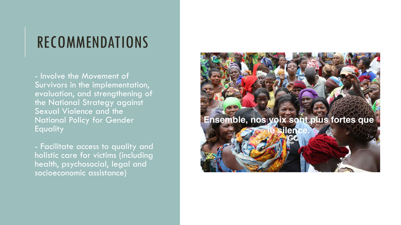#### RECOMMENDATIONS

- Involve the Movement of Survivors in the implementation, evaluation, and strengthening of the National Strategy against Sexual Violence and the National Policy for Gender **Equality** 

- Facilitate access to quality and holistic care for victims (including health, psychosocial, legal and socioeconomic assistance)

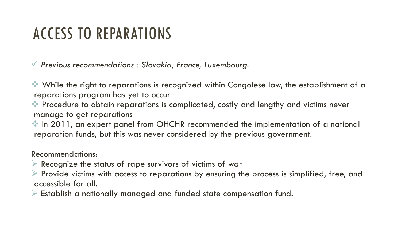#### ACCESS TO REPARATIONS

✓ *Previous recommendations : Slovakia, France, Luxembourg.* 

❖ While the right to reparations is recognized within Congolese law, the establishment of a reparations program has yet to occur

❖ Procedure to obtain reparations is complicated, costly and lengthy and victims never manage to get reparations

❖ In 2011, an expert panel from OHCHR recommended the implementation of a national reparation funds, but this was never considered by the previous government.

Recommendations:

- $\triangleright$  Recognize the status of rape survivors of victims of war
- $\triangleright$  Provide victims with access to reparations by ensuring the process is simplified, free, and accessible for all.
- $\triangleright$  Establish a nationally managed and funded state compensation fund.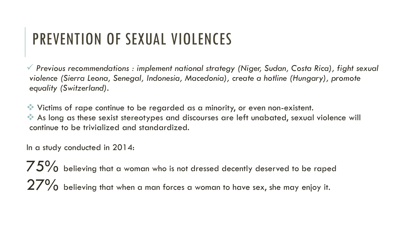### PREVENTION OF SEXUAL VIOLENCES

✓ *Previous recommendations : implement national strategy (Niger, Sudan, Costa Rica), fight sexual violence (Sierra Leona, Senegal, Indonesia, Macedonia), create a hotline (Hungary), promote equality (Switzerland).* 

❖ Victims of rape continue to be regarded as a minority, or even non-existent. ❖ As long as these sexist stereotypes and discourses are left unabated, sexual violence will continue to be trivialized and standardized.

In a study conducted in 2014:

 $75\%$  believing that a woman who is not dressed decently deserved to be raped  $27\%$  believina that when a man forces a woman to have sex, she may enjoy it.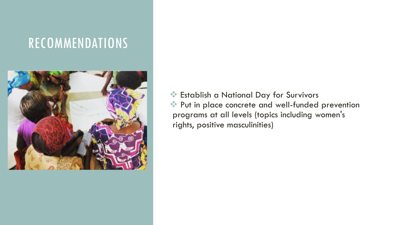#### RECOMMENDATIONS



❖ Establish a National Day for Survivors ❖ Put in place concrete and well-funded prevention programs at all levels (topics including women's rights, positive masculinities)